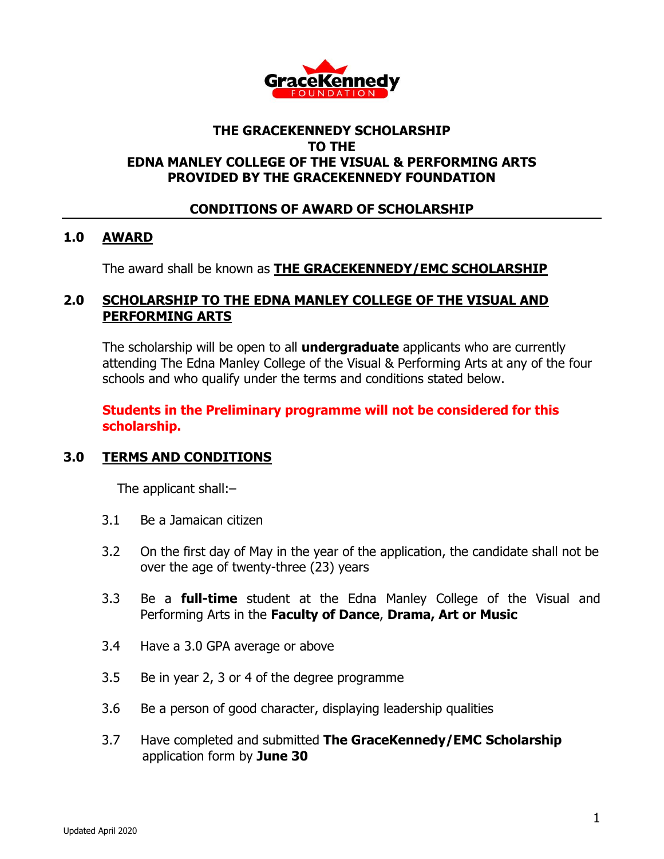

# **THE GRACEKENNEDY SCHOLARSHIP TO THE EDNA MANLEY COLLEGE OF THE VISUAL & PERFORMING ARTS PROVIDED BY THE GRACEKENNEDY FOUNDATION**

## **CONDITIONS OF AWARD OF SCHOLARSHIP**

#### **1.0 AWARD**

The award shall be known as **THE GRACEKENNEDY/EMC SCHOLARSHIP**

#### **2.0 SCHOLARSHIP TO THE EDNA MANLEY COLLEGE OF THE VISUAL AND PERFORMING ARTS**

The scholarship will be open to all **undergraduate** applicants who are currently attending The Edna Manley College of the Visual & Performing Arts at any of the four schools and who qualify under the terms and conditions stated below.

### **Students in the Preliminary programme will not be considered for this scholarship.**

# **3.0 TERMS AND CONDITIONS**

The applicant shall:–

- 3.1 Be a Jamaican citizen
- 3.2 On the first day of May in the year of the application, the candidate shall not be over the age of twenty-three (23) years
- 3.3 Be a **full-time** student at the Edna Manley College of the Visual and Performing Arts in the **Faculty of Dance**, **Drama, Art or Music**
- 3.4 Have a 3.0 GPA average or above
- 3.5 Be in year 2, 3 or 4 of the degree programme
- 3.6 Be a person of good character, displaying leadership qualities
- 3.7 Have completed and submitted **The GraceKennedy/EMC Scholarship** application form by **June 30**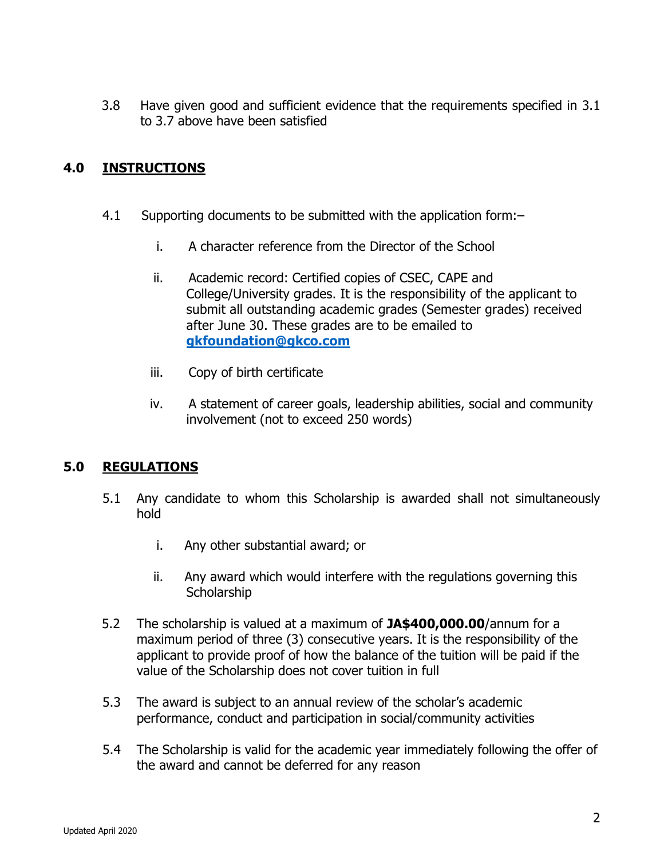3.8 Have given good and sufficient evidence that the requirements specified in 3.1 to 3.7 above have been satisfied

# **4.0 INSTRUCTIONS**

- 4.1 Supporting documents to be submitted with the application form:–
	- i. A character reference from the Director of the School
	- ii. Academic record: Certified copies of CSEC, CAPE and College/University grades. It is the responsibility of the applicant to submit all outstanding academic grades (Semester grades) received after June 30. These grades are to be emailed to **[gkfoundation@gkco.com](mailto:gkfoundation@gkco.com)**
	- iii. Copy of birth certificate
	- iv. A statement of career goals, leadership abilities, social and community involvement (not to exceed 250 words)

# **5.0 REGULATIONS**

- 5.1 Any candidate to whom this Scholarship is awarded shall not simultaneously hold
	- i. Any other substantial award; or
	- ii. Any award which would interfere with the regulations governing this **Scholarship**
- 5.2 The scholarship is valued at a maximum of **JA\$400,000.00**/annum for a maximum period of three (3) consecutive years. It is the responsibility of the applicant to provide proof of how the balance of the tuition will be paid if the value of the Scholarship does not cover tuition in full
- 5.3 The award is subject to an annual review of the scholar's academic performance, conduct and participation in social/community activities
- 5.4 The Scholarship is valid for the academic year immediately following the offer of the award and cannot be deferred for any reason